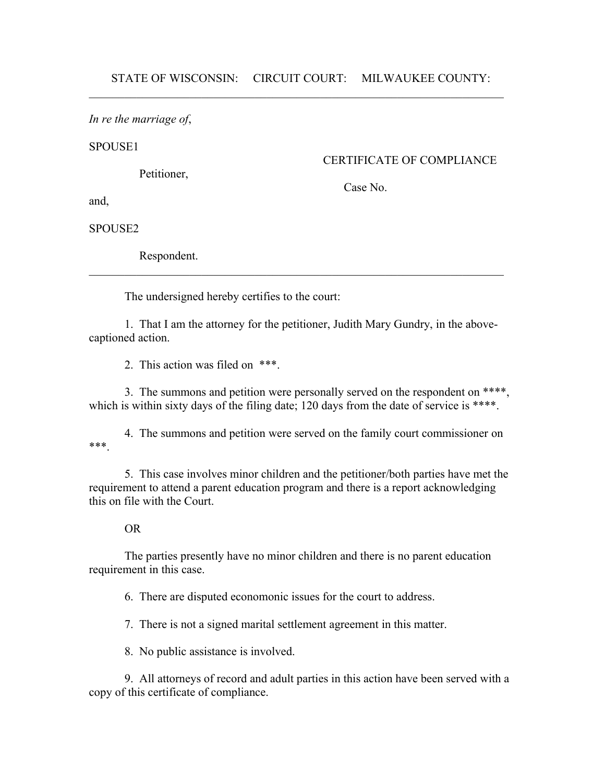*In re the marriage of*,

SPOUSE1

Petitioner,

CERTIFICATE OF COMPLIANCE

Case No.

and,

SPOUSE2

Respondent.

The undersigned hereby certifies to the court:

1. That I am the attorney for the petitioner, Judith Mary Gundry, in the abovecaptioned action.

 $\mathcal{L}_\text{max}$  and  $\mathcal{L}_\text{max}$  and  $\mathcal{L}_\text{max}$  and  $\mathcal{L}_\text{max}$  and  $\mathcal{L}_\text{max}$  and  $\mathcal{L}_\text{max}$ 

2. This action was filed on \*\*\*.

3. The summons and petition were personally served on the respondent on \*\*\*\*, which is within sixty days of the filing date; 120 days from the date of service is \*\*\*\*.

4. The summons and petition were served on the family court commissioner on \*\*\*.

5. This case involves minor children and the petitioner/both parties have met the requirement to attend a parent education program and there is a report acknowledging this on file with the Court.

## OR

The parties presently have no minor children and there is no parent education requirement in this case.

6. There are disputed economonic issues for the court to address.

7. There is not a signed marital settlement agreement in this matter.

8. No public assistance is involved.

9. All attorneys of record and adult parties in this action have been served with a copy of this certificate of compliance.